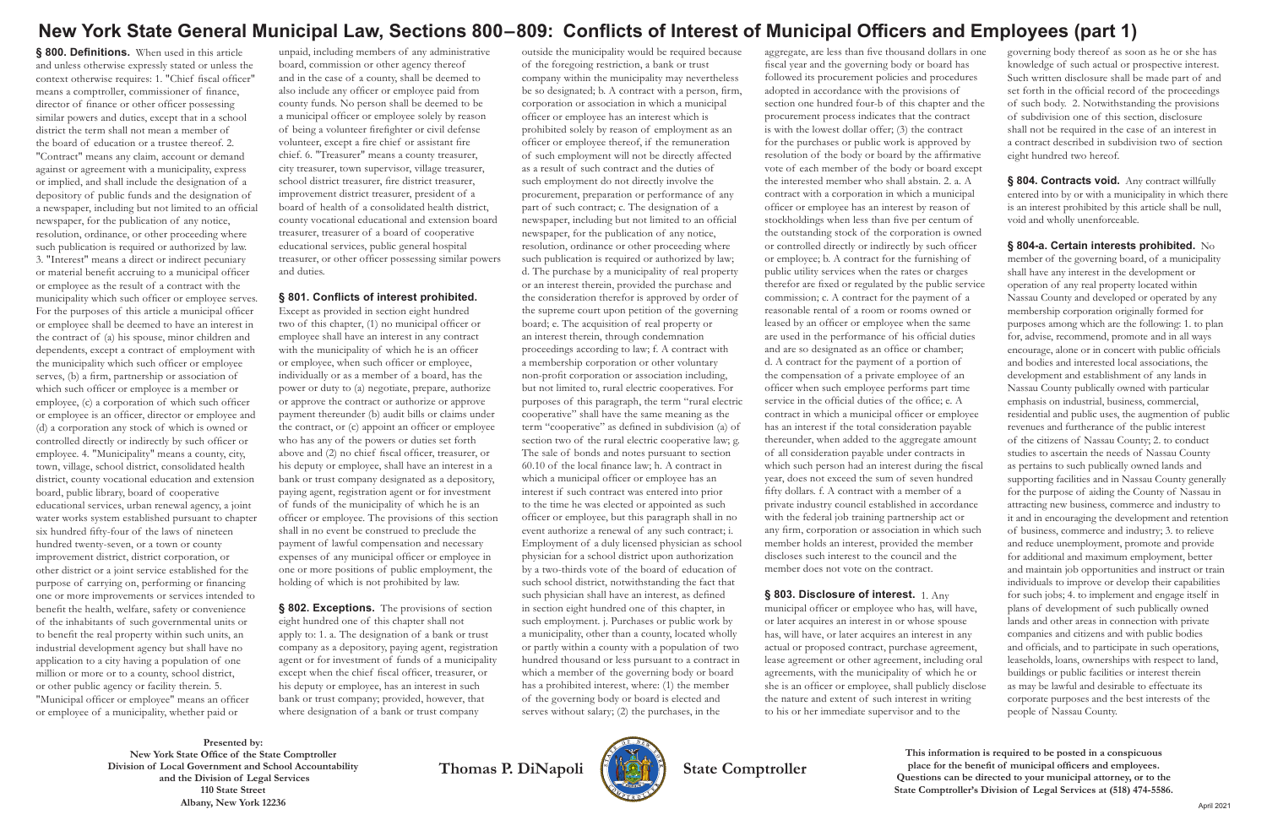# **New York State General Municipal Law, Sections 800 – 809: Conflicts of Interest of Municipal Officers and Employees (part 1)**

**Presented by: New York State Office of the State Comptroller Division of Local Government and School Accountability and the Division of Legal Services 110 State Street Albany, New York 12236**



Thomas P. DiNapoli **(BA)** State Comptroller

**This information is required to be posted in a conspicuous place for the benefit of municipal officers and employees. Questions can be directed to your municipal attorney, or to the State Comptroller's Division of Legal Services at (518) 474-5586.**

**§ 800. Definitions.** When used in this article and unless otherwise expressly stated or unless the context otherwise requires: 1. "Chief fiscal officer" means a comptroller, commissioner of finance, director of finance or other officer possessing similar powers and duties, except that in a school district the term shall not mean a member of the board of education or a trustee thereof. 2. "Contract" means any claim, account or demand against or agreement with a municipality, express or implied, and shall include the designation of a depository of public funds and the designation of a newspaper, including but not limited to an official newspaper, for the publication of any notice, resolution, ordinance, or other proceeding where such publication is required or authorized by law. 3. "Interest" means a direct or indirect pecuniary or material benefit accruing to a municipal officer or employee as the result of a contract with the municipality which such officer or employee serves. For the purposes of this article a municipal officer or employee shall be deemed to have an interest in the contract of (a) his spouse, minor children and dependents, except a contract of employment with the municipality which such officer or employee serves, (b) a firm, partnership or association of which such officer or employee is a member or employee, (c) a corporation of which such officer or employee is an officer, director or employee and (d) a corporation any stock of which is owned or controlled directly or indirectly by such officer or employee. 4. "Municipality" means a county, city, town, village, school district, consolidated health district, county vocational education and extension board, public library, board of cooperative educational services, urban renewal agency, a joint water works system established pursuant to chapter six hundred fifty-four of the laws of nineteen hundred twenty-seven, or a town or county improvement district, district corporation, or other district or a joint service established for the purpose of carrying on, performing or financing one or more improvements or services intended to benefit the health, welfare, safety or convenience of the inhabitants of such governmental units or to benefit the real property within such units, an industrial development agency but shall have no application to a city having a population of one million or more or to a county, school district, or other public agency or facility therein. 5. "Municipal officer or employee" means an officer or employee of a municipality, whether paid or

§ 802. Exceptions. The provisions of section eight hundred one of this chapter shall not apply to: 1. a. The designation of a bank or trust company as a depository, paying agent, registration agent or for investment of funds of a municipality except when the chief fiscal officer, treasurer, or his deputy or employee, has an interest in such bank or trust company; provided, however, that where designation of a bank or trust company

unpaid, including members of any administrative board, commission or other agency thereof and in the case of a county, shall be deemed to also include any officer or employee paid from county funds. No person shall be deemed to be a municipal officer or employee solely by reason of being a volunteer firefighter or civil defense volunteer, except a fire chief or assistant fire chief. 6. "Treasurer" means a county treasurer, city treasurer, town supervisor, village treasurer, school district treasurer, fire district treasurer, improvement district treasurer, president of a board of health of a consolidated health district, county vocational educational and extension board treasurer, treasurer of a board of cooperative educational services, public general hospital treasurer, or other officer possessing similar powers and duties.

#### **§ 801. Conflicts of interest prohibited.**

Except as provided in section eight hundred two of this chapter, (1) no municipal officer or employee shall have an interest in any contract with the municipality of which he is an officer or employee, when such officer or employee, individually or as a member of a board, has the power or duty to (a) negotiate, prepare, authorize or approve the contract or authorize or approve payment thereunder (b) audit bills or claims under the contract, or (c) appoint an officer or employee who has any of the powers or duties set forth above and (2) no chief fiscal officer, treasurer, or his deputy or employee, shall have an interest in a bank or trust company designated as a depository, paying agent, registration agent or for investment of funds of the municipality of which he is an officer or employee. The provisions of this section shall in no event be construed to preclude the payment of lawful compensation and necessary expenses of any municipal officer or employee in one or more positions of public employment, the holding of which is not prohibited by law.

§ 804. Contracts void. Any contract willfully entered into by or with a municipality in which there is an interest prohibited by this article shall be null, void and wholly unenforceable.

outside the municipality would be required because of the foregoing restriction, a bank or trust company within the municipality may nevertheless be so designated; b. A contract with a person, firm, corporation or association in which a municipal officer or employee has an interest which is prohibited solely by reason of employment as an officer or employee thereof, if the remuneration of such employment will not be directly affected as a result of such contract and the duties of such employment do not directly involve the procurement, preparation or performance of any part of such contract; c. The designation of a newspaper, including but not limited to an official newspaper, for the publication of any notice, resolution, ordinance or other proceeding where such publication is required or authorized by law; d. The purchase by a municipality of real property or an interest therein, provided the purchase and the consideration therefor is approved by order of the supreme court upon petition of the governing board; e. The acquisition of real property or an interest therein, through condemnation proceedings according to law; f. A contract with a membership corporation or other voluntary non-profit corporation or association including, but not limited to, rural electric cooperatives. For purposes of this paragraph, the term "rural electric cooperative" shall have the same meaning as the term "cooperative" as defined in subdivision (a) of section two of the rural electric cooperative law; g. The sale of bonds and notes pursuant to section 60.10 of the local finance law; h. A contract in which a municipal officer or employee has an interest if such contract was entered into prior to the time he was elected or appointed as such officer or employee, but this paragraph shall in no event authorize a renewal of any such contract; i. Employment of a duly licensed physician as school physician for a school district upon authorization by a two-thirds vote of the board of education of such school district, notwithstanding the fact that such physician shall have an interest, as defined in section eight hundred one of this chapter, in such employment. j. Purchases or public work by a municipality, other than a county, located wholly or partly within a county with a population of two hundred thousand or less pursuant to a contract in which a member of the governing body or board has a prohibited interest, where: (1) the member of the governing body or board is elected and serves without salary; (2) the purchases, in the

aggregate, are less than five thousand dollars in one fiscal year and the governing body or board has followed its procurement policies and procedures adopted in accordance with the provisions of section one hundred four-b of this chapter and the procurement process indicates that the contract is with the lowest dollar offer; (3) the contract for the purchases or public work is approved by resolution of the body or board by the affirmative vote of each member of the body or board except the interested member who shall abstain. 2. a. A contract with a corporation in which a municipal officer or employee has an interest by reason of stockholdings when less than five per centum of the outstanding stock of the corporation is owned or controlled directly or indirectly by such officer or employee; b. A contract for the furnishing of public utility services when the rates or charges therefor are fixed or regulated by the public service commission; c. A contract for the payment of a reasonable rental of a room or rooms owned or leased by an officer or employee when the same are used in the performance of his official duties and are so designated as an office or chamber; d. A contract for the payment of a portion of the compensation of a private employee of an officer when such employee performs part time service in the official duties of the office; e. A contract in which a municipal officer or employee has an interest if the total consideration payable thereunder, when added to the aggregate amount of all consideration payable under contracts in which such person had an interest during the fiscal year, does not exceed the sum of seven hundred fifty dollars. f. A contract with a member of a private industry council established in accordance with the federal job training partnership act or any firm, corporation or association in which such member holds an interest, provided the member discloses such interest to the council and the member does not vote on the contract.

**§ 803. Disclosure of interest.** 1. Any municipal officer or employee who has, will have, or later acquires an interest in or whose spouse has, will have, or later acquires an interest in any actual or proposed contract, purchase agreement, lease agreement or other agreement, including oral agreements, with the municipality of which he or she is an officer or employee, shall publicly disclose the nature and extent of such interest in writing to his or her immediate supervisor and to the

governing body thereof as soon as he or she has knowledge of such actual or prospective interest. Such written disclosure shall be made part of and set forth in the official record of the proceedings of such body. 2. Notwithstanding the provisions of subdivision one of this section, disclosure shall not be required in the case of an interest in a contract described in subdivision two of section eight hundred two hereof.

**§ 804-a. Certain interests prohibited.** No member of the governing board, of a municipality shall have any interest in the development or operation of any real property located within Nassau County and developed or operated by any membership corporation originally formed for purposes among which are the following: 1. to plan for, advise, recommend, promote and in all ways encourage, alone or in concert with public officials and bodies and interested local associations, the development and establishment of any lands in Nassau County publically owned with particular emphasis on industrial, business, commercial, residential and public uses, the augmention of public revenues and furtherance of the public interest of the citizens of Nassau County; 2. to conduct studies to ascertain the needs of Nassau County as pertains to such publically owned lands and supporting facilities and in Nassau County generally for the purpose of aiding the County of Nassau in attracting new business, commerce and industry to it and in encouraging the development and retention of business, commerce and industry; 3. to relieve and reduce unemployment, promote and provide for additional and maximum employment, better and maintain job opportunities and instruct or train individuals to improve or develop their capabilities for such jobs; 4. to implement and engage itself in plans of development of such publically owned lands and other areas in connection with private companies and citizens and with public bodies and officials, and to participate in such operations, leaseholds, loans, ownerships with respect to land, buildings or public facilities or interest therein as may be lawful and desirable to effectuate its corporate purposes and the best interests of the people of Nassau County.